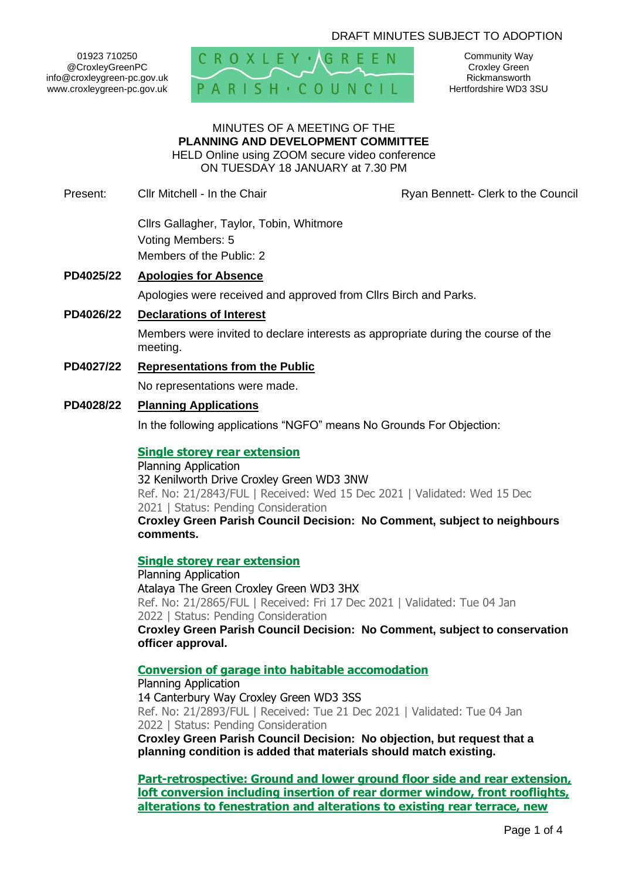# DRAFT MINUTES SUBJECT TO ADOPTION

01923 710250 @CroxleyGreenPC info@croxleygreen-pc.gov.uk www.croxleygreen-pc.gov.uk



Community Way Croxley Green Rickmansworth Hertfordshire WD3 3SU

### MINUTES OF A MEETING OF THE **PLANNING AND DEVELOPMENT COMMITTEE** HELD Online using ZOOM secure video conference

ON TUESDAY 18 JANUARY at 7.30 PM

Present: Cllr Mitchell - In the Chair **Research Ryan Bennett- Clerk to the Council** 

Cllrs Gallagher, Taylor, Tobin, Whitmore Voting Members: 5 Members of the Public: 2

# **PD4025/22 Apologies for Absence**

Apologies were received and approved from Cllrs Birch and Parks.

**PD4026/22 Declarations of Interest**

Members were invited to declare interests as appropriate during the course of the meeting.

**PD4027/22 Representations from the Public**

No representations were made.

# **PD4028/22 Planning Applications**

In the following applications "NGFO" means No Grounds For Objection:

### **[Single storey rear extension](https://www3.threerivers.gov.uk/online-applications/applicationDetails.do?activeTab=summary&keyVal=R45D03QFI9H00&prevPage=inTray)**

Planning Application 32 Kenilworth Drive Croxley Green WD3 3NW Ref. No: 21/2843/FUL | Received: Wed 15 Dec 2021 | Validated: Wed 15 Dec 2021 | Status: Pending Consideration **Croxley Green Parish Council Decision: No Comment, subject to neighbours comments.**

### **[Single storey rear extension](https://www3.threerivers.gov.uk/online-applications/applicationDetails.do?activeTab=summary&keyVal=R492DFQFIAX00&prevPage=inTray)**

Planning Application Atalaya The Green Croxley Green WD3 3HX Ref. No: 21/2865/FUL | Received: Fri 17 Dec 2021 | Validated: Tue 04 Jan 2022 | Status: Pending Consideration **Croxley Green Parish Council Decision: No Comment, subject to conservation officer approval.**

## **[Conversion of garage into habitable accomodation](https://www3.threerivers.gov.uk/online-applications/applicationDetails.do?activeTab=summary&keyVal=R4GS1QQFICG00&prevPage=inTray)**

Planning Application 14 Canterbury Way Croxley Green WD3 3SS Ref. No: 21/2893/FUL | Received: Tue 21 Dec 2021 | Validated: Tue 04 Jan 2022 | Status: Pending Consideration

**Croxley Green Parish Council Decision: No objection, but request that a planning condition is added that materials should match existing.**

**[Part-retrospective: Ground and lower ground floor side and rear extension,](https://www3.threerivers.gov.uk/online-applications/applicationDetails.do?activeTab=summary&keyVal=R47PECQF0DC00&prevPage=inTray)  [loft conversion including insertion of rear dormer window, front rooflights,](https://www3.threerivers.gov.uk/online-applications/applicationDetails.do?activeTab=summary&keyVal=R47PECQF0DC00&prevPage=inTray)  [alterations to fenestration and alterations to existing rear terrace, new](https://www3.threerivers.gov.uk/online-applications/applicationDetails.do?activeTab=summary&keyVal=R47PECQF0DC00&prevPage=inTray)**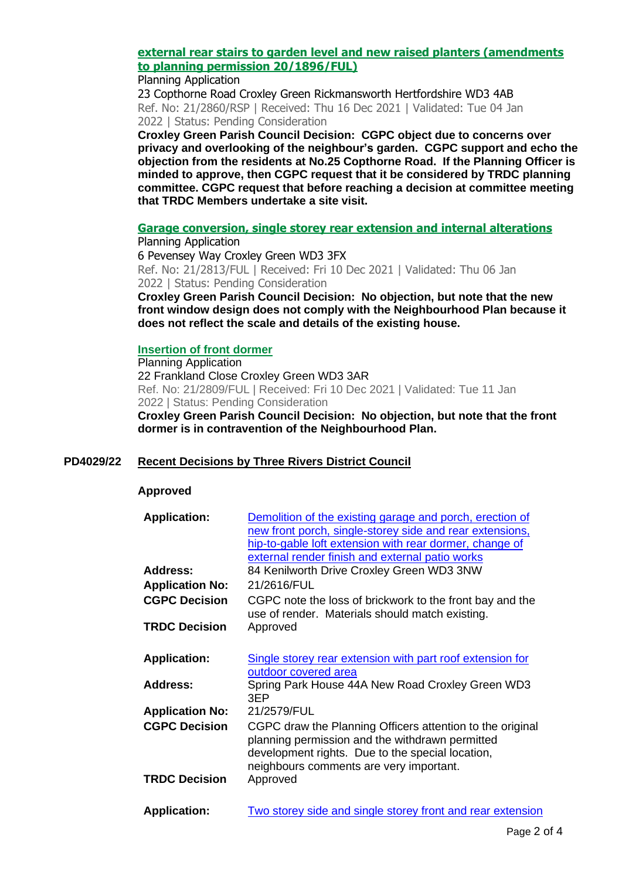# **external rear stairs to garden [level and new raised planters \(amendments](https://www3.threerivers.gov.uk/online-applications/applicationDetails.do?activeTab=summary&keyVal=R47PECQF0DC00&prevPage=inTray)  [to planning permission 20/1896/FUL\)](https://www3.threerivers.gov.uk/online-applications/applicationDetails.do?activeTab=summary&keyVal=R47PECQF0DC00&prevPage=inTray)**

#### Planning Application

23 Copthorne Road Croxley Green Rickmansworth Hertfordshire WD3 4AB Ref. No: 21/2860/RSP | Received: Thu 16 Dec 2021 | Validated: Tue 04 Jan 2022 | Status: Pending Consideration

**Croxley Green Parish Council Decision: CGPC object due to concerns over privacy and overlooking of the neighbour's garden. CGPC support and echo the objection from the residents at No.25 Copthorne Road. If the Planning Officer is minded to approve, then CGPC request that it be considered by TRDC planning committee. CGPC request that before reaching a decision at committee meeting that TRDC Members undertake a site visit.**

**[Garage conversion, single storey rear extension and internal alterations](https://www3.threerivers.gov.uk/online-applications/applicationDetails.do?activeTab=summary&keyVal=R3WEPUQFI7R00&prevPage=inTray)**

Planning Application 6 Pevensey Way Croxley Green WD3 3FX Ref. No: 21/2813/FUL | Received: Fri 10 Dec 2021 | Validated: Thu 06 Jan 2022 | Status: Pending Consideration

**Croxley Green Parish Council Decision: No objection, but note that the new front window design does not comply with the Neighbourhood Plan because it does not reflect the scale and details of the existing house.**

### **[Insertion of front dormer](https://www3.threerivers.gov.uk/online-applications/applicationDetails.do?activeTab=summary&keyVal=R3W3O7QFI7K00&prevPage=inTray)**

Planning Application 22 Frankland Close Croxley Green WD3 3AR Ref. No: 21/2809/FUL | Received: Fri 10 Dec 2021 | Validated: Tue 11 Jan 2022 | Status: Pending Consideration

**Croxley Green Parish Council Decision: No objection, but note that the front dormer is in contravention of the Neighbourhood Plan.**

# **PD4029/22 Recent Decisions by Three Rivers District Council**

### **Approved**

| <b>Application:</b>    | Demolition of the existing garage and porch, erection of                                                                                                                                                    |
|------------------------|-------------------------------------------------------------------------------------------------------------------------------------------------------------------------------------------------------------|
|                        | new front porch, single-storey side and rear extensions,                                                                                                                                                    |
|                        | hip-to-gable loft extension with rear dormer, change of                                                                                                                                                     |
|                        | external render finish and external patio works                                                                                                                                                             |
| <b>Address:</b>        | 84 Kenilworth Drive Croxley Green WD3 3NW                                                                                                                                                                   |
| <b>Application No:</b> | 21/2616/FUL                                                                                                                                                                                                 |
| <b>CGPC Decision</b>   | CGPC note the loss of brickwork to the front bay and the<br>use of render. Materials should match existing.                                                                                                 |
| <b>TRDC Decision</b>   | Approved                                                                                                                                                                                                    |
| <b>Application:</b>    | Single storey rear extension with part roof extension for                                                                                                                                                   |
|                        | outdoor covered area                                                                                                                                                                                        |
| <b>Address:</b>        | Spring Park House 44A New Road Croxley Green WD3<br>3EP                                                                                                                                                     |
| <b>Application No:</b> | 21/2579/FUL                                                                                                                                                                                                 |
| <b>CGPC Decision</b>   | CGPC draw the Planning Officers attention to the original<br>planning permission and the withdrawn permitted<br>development rights. Due to the special location,<br>neighbours comments are very important. |
| <b>TRDC Decision</b>   | Approved                                                                                                                                                                                                    |
| <b>Application:</b>    | Two storey side and single storey front and rear extension                                                                                                                                                  |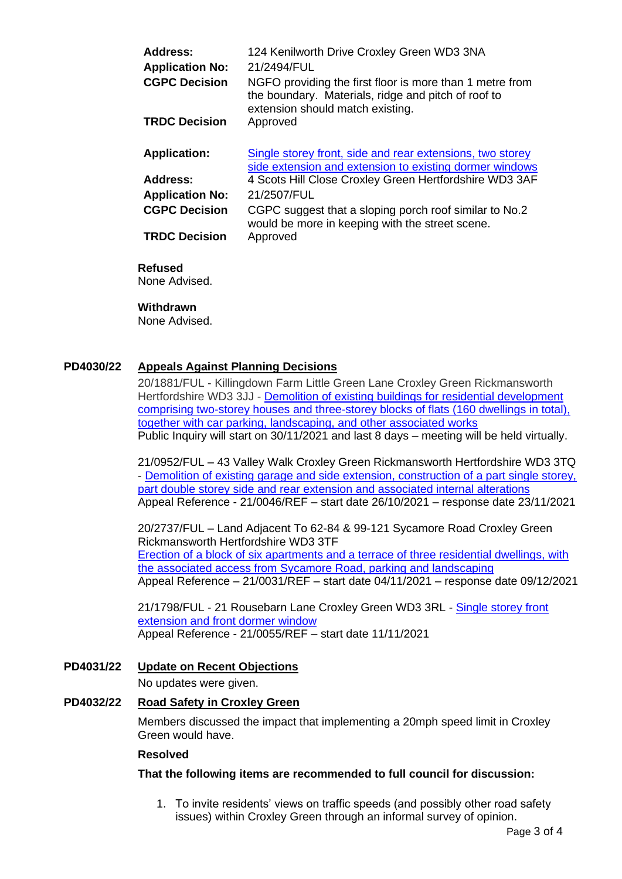| <b>Address:</b>        | 124 Kenilworth Drive Croxley Green WD3 3NA                                                                                                          |
|------------------------|-----------------------------------------------------------------------------------------------------------------------------------------------------|
| <b>Application No:</b> | 21/2494/FUL                                                                                                                                         |
| <b>CGPC Decision</b>   | NGFO providing the first floor is more than 1 metre from<br>the boundary. Materials, ridge and pitch of roof to<br>extension should match existing. |
| <b>TRDC Decision</b>   | Approved                                                                                                                                            |
| <b>Application:</b>    | Single storey front, side and rear extensions, two storey<br>side extension and extension to existing dormer windows                                |
| <b>Address:</b>        | 4 Scots Hill Close Croxley Green Hertfordshire WD3 3AF                                                                                              |
| <b>Application No:</b> | 21/2507/FUL                                                                                                                                         |
| <b>CGPC Decision</b>   | CGPC suggest that a sloping porch roof similar to No.2<br>would be more in keeping with the street scene.                                           |
| <b>TRDC Decision</b>   | Approved                                                                                                                                            |

# **Refused**

None Advised.

### **Withdrawn**

None Advised.

## **PD4030/22 Appeals Against Planning Decisions**

20/1881/FUL - Killingdown Farm Little Green Lane Croxley Green Rickmansworth Hertfordshire WD3 3JJ - Demolition [of existing buildings for residential development](https://www3.threerivers.gov.uk/online-applications/applicationDetails.do?activeTab=summary&keyVal=QGG2ZQQF0D100&prevPage=inTray)  [comprising two-storey houses and three-storey blocks of flats \(160 dwellings in total\),](https://www3.threerivers.gov.uk/online-applications/applicationDetails.do?activeTab=summary&keyVal=QGG2ZQQF0D100&prevPage=inTray)  together with [car parking, landscaping, and other associated works](https://www3.threerivers.gov.uk/online-applications/applicationDetails.do?activeTab=summary&keyVal=QGG2ZQQF0D100&prevPage=inTray) Public Inquiry will start on 30/11/2021 and last 8 days – meeting will be held virtually.

21/0952/FUL – 43 Valley Walk Croxley Green Rickmansworth Hertfordshire WD3 3TQ - Demolition of existing garage and side extension, construction of a part single storey, [part double storey side and rear extension and associated internal alterations](https://www3.threerivers.gov.uk/online-applications/applicationDetails.do?activeTab=summary&keyVal=QRJKXJQFN5500&prevPage=inTray) Appeal Reference - 21/0046/REF – start date 26/10/2021 – response date 23/11/2021

20/2737/FUL – Land Adjacent To 62-84 & 99-121 Sycamore Road Croxley Green Rickmansworth Hertfordshire WD3 3TF [Erection of a block of six apartments and a terrace of three residential dwellings, with](https://www3.threerivers.gov.uk/online-applications/applicationDetails.do?activeTab=summary&keyVal=QLIZOLQFLMZ00&prevPage=inTray)  [the associated access from Sycamore Road, parking and landscaping](https://www3.threerivers.gov.uk/online-applications/applicationDetails.do?activeTab=summary&keyVal=QLIZOLQFLMZ00&prevPage=inTray) Appeal Reference – 21/0031/REF – start date 04/11/2021 – response date 09/12/2021

21/1798/FUL - 21 Rousebarn Lane Croxley Green WD3 3RL - [Single storey front](https://www3.threerivers.gov.uk/online-applications/applicationDetails.do?activeTab=summary&keyVal=QWDNINQFGN100&prevPage=inTray)  [extension and front dormer window](https://www3.threerivers.gov.uk/online-applications/applicationDetails.do?activeTab=summary&keyVal=QWDNINQFGN100&prevPage=inTray) Appeal Reference - 21/0055/REF – start date 11/11/2021

### **PD4031/22 Update on Recent Objections**

No updates were given.

### **PD4032/22 Road Safety in Croxley Green**

Members discussed the impact that implementing a 20mph speed limit in Croxley Green would have.

### **Resolved**

### **That the following items are recommended to full council for discussion:**

1. To invite residents' views on traffic speeds (and possibly other road safety issues) within Croxley Green through an informal survey of opinion.